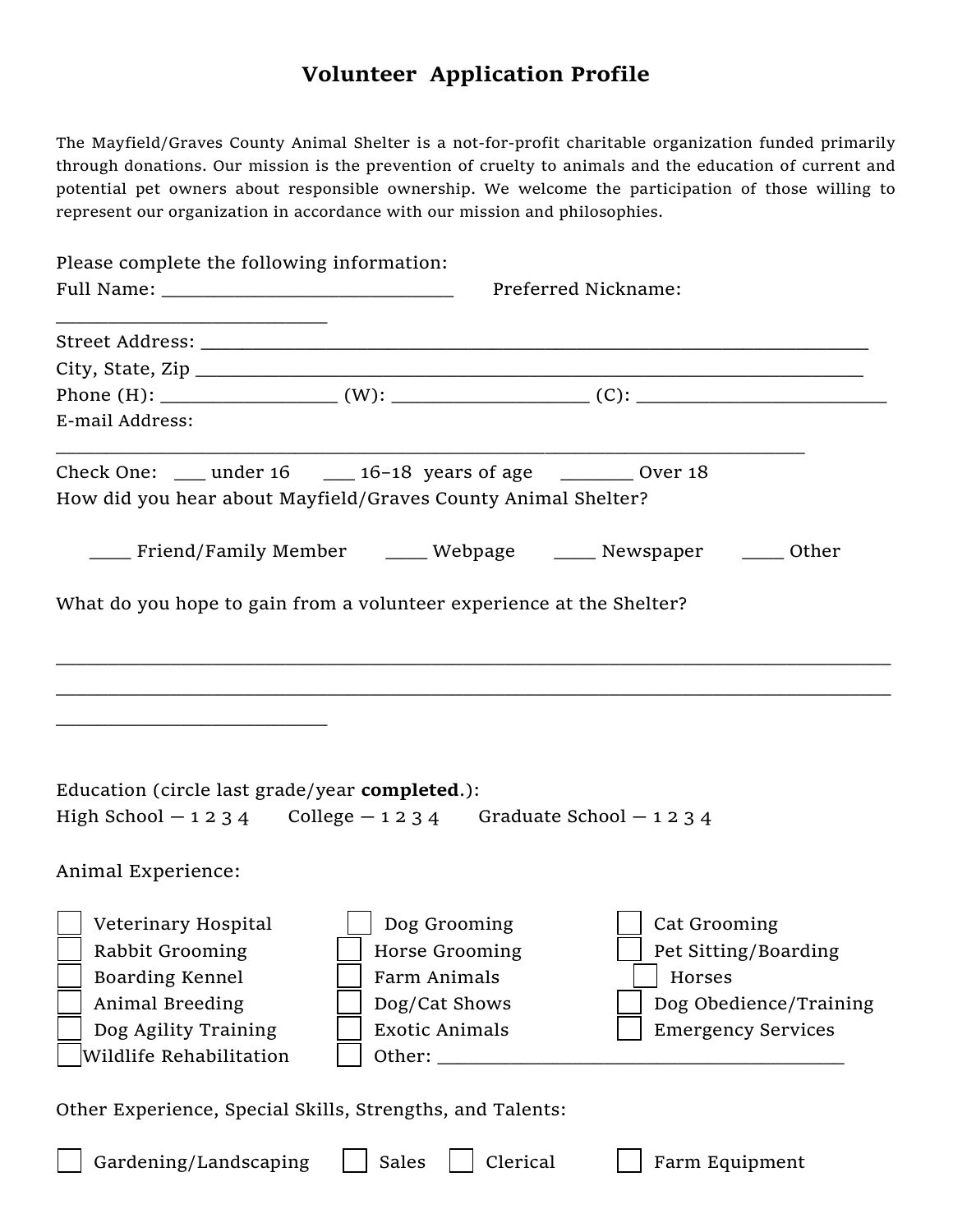## Volunteer Application Profile

The Mayfield/Graves County Animal Shelter is a not-for-profit charitable organization funded primarily through donations. Our mission is the prevention of cruelty to animals and the education of current and potential pet owners about responsible ownership. We welcome the participation of those willing to represent our organization in accordance with our mission and philosophies.

| Please complete the following information:                                                                                                          |                                                                                                         |          | Preferred Nickname:                                                                                   |
|-----------------------------------------------------------------------------------------------------------------------------------------------------|---------------------------------------------------------------------------------------------------------|----------|-------------------------------------------------------------------------------------------------------|
|                                                                                                                                                     |                                                                                                         |          |                                                                                                       |
| E-mail Address:                                                                                                                                     |                                                                                                         |          |                                                                                                       |
| Check One: $\_\_\_\$ under 16 $\_\_\_\$ 16-18 years of age $\_\_\_\_\_\_\$ Over 18<br>How did you hear about Mayfield/Graves County Animal Shelter? |                                                                                                         |          |                                                                                                       |
|                                                                                                                                                     |                                                                                                         |          | ____ Friend/Family Member _____ Webpage _____ Newspaper ____ Other                                    |
| What do you hope to gain from a volunteer experience at the Shelter?                                                                                |                                                                                                         |          |                                                                                                       |
| Education (circle last grade/year completed.):<br>High School $-1234$ College $-1234$ Graduate School $-1234$                                       |                                                                                                         |          |                                                                                                       |
| Animal Experience:                                                                                                                                  |                                                                                                         |          |                                                                                                       |
| Veterinary Hospital<br>Rabbit Grooming<br>Boarding Kennel<br>Animal Breeding<br>Dog Agility Training<br>Wildlife Rehabilitation                     | Dog Grooming<br>Horse Grooming<br>Farm Animals<br>Dog/Cat Shows<br><b>Exotic Animals</b><br>Other: ____ |          | Cat Grooming<br>Pet Sitting/Boarding<br>Horses<br>Dog Obedience/Training<br><b>Emergency Services</b> |
| Other Experience, Special Skills, Strengths, and Talents:                                                                                           |                                                                                                         |          |                                                                                                       |
| Gardening/Landscaping                                                                                                                               | Sales                                                                                                   | Clerical | Farm Equipment                                                                                        |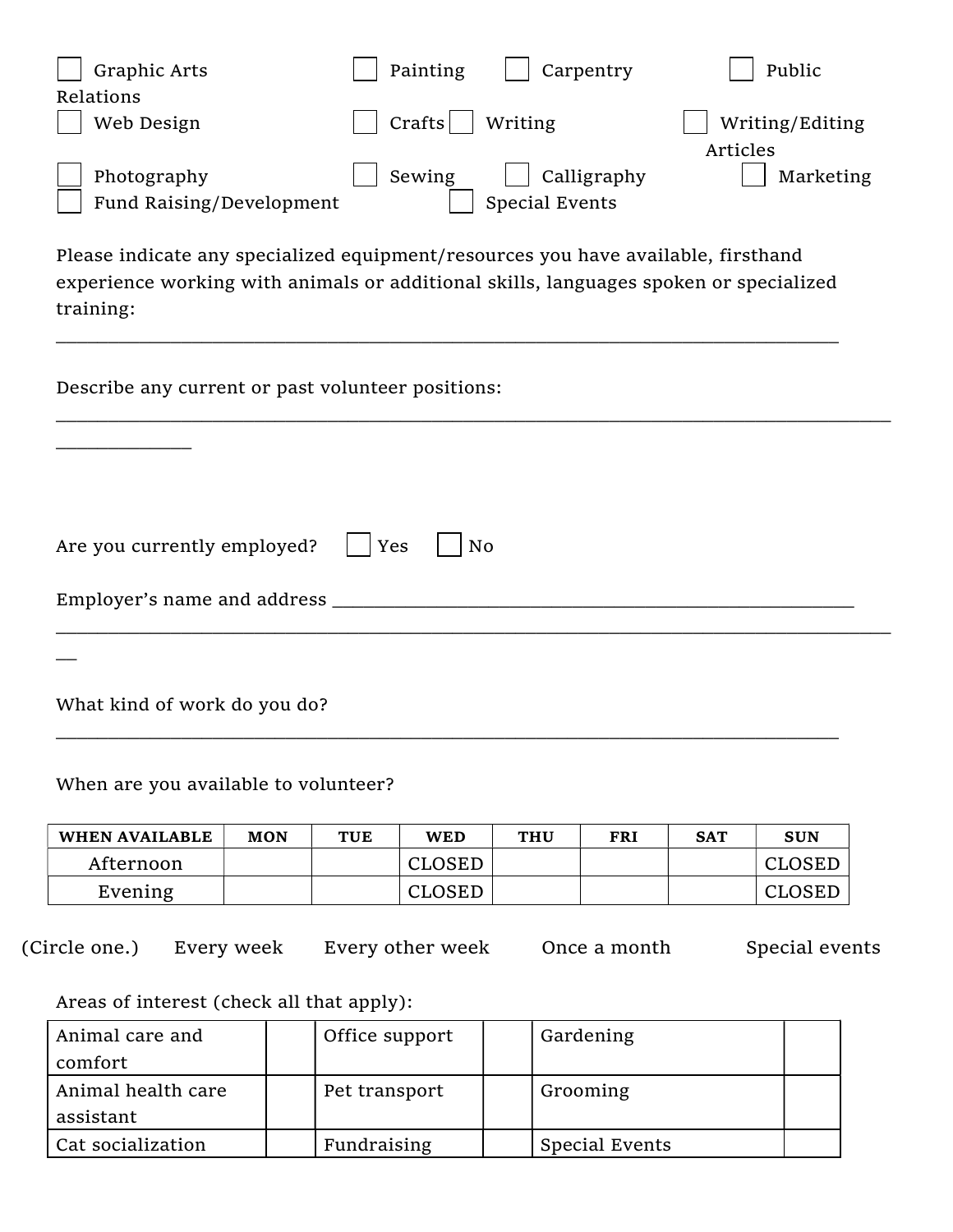| Graphic Arts             | Painting | Carpentry      | Public          |
|--------------------------|----------|----------------|-----------------|
| Relations                |          |                |                 |
| Web Design               | Crafts   | Writing        | Writing/Editing |
|                          |          |                | Articles        |
| Photography              | Sewing   | Calligraphy    | Marketing       |
| Fund Raising/Development |          | Special Events |                 |

Please indicate any specialized equipment/resources you have available, firsthand experience working with animals or additional skills, languages spoken or specialized training:

\_\_\_\_\_\_\_\_\_\_\_\_\_\_\_\_\_\_\_\_\_\_\_\_\_\_\_\_\_\_\_\_\_\_\_\_\_\_\_\_\_\_\_\_\_\_\_\_\_\_\_\_\_\_\_\_\_\_\_\_\_\_\_\_\_\_\_\_\_\_\_\_\_\_\_

Describe any current or past volunteer positions:

| Are you currently employed?     Yes    | No |
|----------------------------------------|----|
| Employer's name and address __________ |    |
|                                        |    |

\_\_\_\_\_\_\_\_\_\_\_\_\_\_\_\_\_\_\_\_\_\_\_\_\_\_\_\_\_\_\_\_\_\_\_\_\_\_\_\_\_\_\_\_\_\_\_\_\_\_\_\_\_\_\_\_\_\_\_\_\_\_\_\_\_\_\_\_\_\_\_\_\_\_\_\_\_\_\_\_

What kind of work do you do?

\_\_\_\_\_\_\_\_\_\_\_\_\_

When are you available to volunteer?

| WHEN AVAILABLE | <b>MON</b> | TUE | WED    | <b>THU</b> | FRI | <b>SAT</b> | <b>SUN</b> |
|----------------|------------|-----|--------|------------|-----|------------|------------|
| Afternoon      |            |     | CLOSED |            |     |            | CLOSED     |
| Evening        |            |     | CLOSED |            |     |            | CLOSED     |

\_\_\_\_\_\_\_\_\_\_\_\_\_\_\_\_\_\_\_\_\_\_\_\_\_\_\_\_\_\_\_\_\_\_\_\_\_\_\_\_\_\_\_\_\_\_\_\_\_\_\_\_\_\_\_\_\_\_\_\_\_\_\_\_\_\_\_\_\_\_\_\_\_\_\_

(Circle one.) Every week Every other week Once a month Special events

Areas of interest (check all that apply):

| Animal care and                 | Office support | Gardening      |  |
|---------------------------------|----------------|----------------|--|
| comfort                         |                |                |  |
| Animal health care<br>assistant | Pet transport  | Grooming       |  |
| Cat socialization               | Fundraising    | Special Events |  |